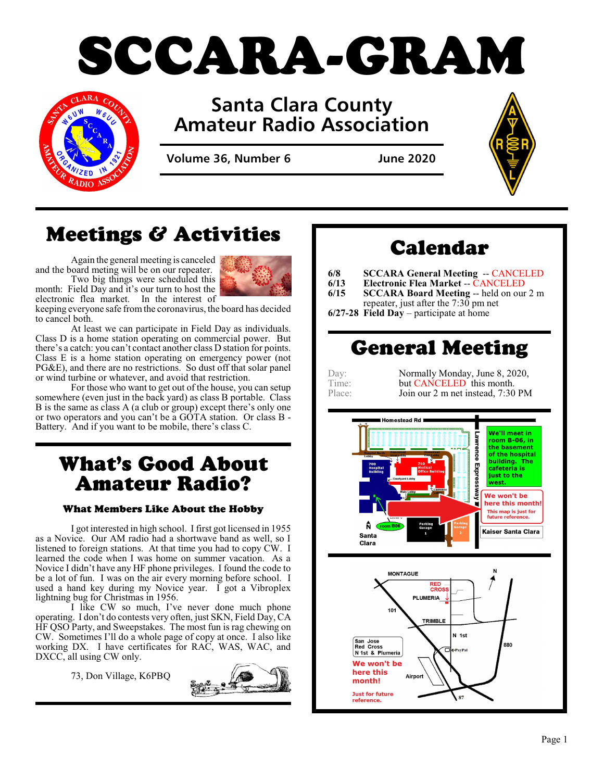



# **Santa Clara County Amateur Radio Association**

**Volume 36, Number 6 June 2020**



# Meetings & Activities

Again the general meeting is canceled and the board meting will be on our repeater. Two big things were scheduled this month: Field Day and it's our turn to host the



electronic flea market. In the interest of keeping everyone safe fromthe coronavirus, the board has decided to cancel both.

At least we can participate in Field Day as individuals. Class D is a home station operating on commercial power. But there's a catch: you can't contact another class D station for points. Class E is a home station operating on emergency power (not PG&E), and there are no restrictions. So dust off that solar panel or wind turbine or whatever, and avoid that restriction.

For those who want to get out of the house, you can setup somewhere (even just in the back yard) as class B portable. Class B is the same as class A (a club or group) except there's only one or two operators and you can't be a GOTA station. Or class B - Battery. And if you want to be mobile, there's class C.

# What's Good About Amateur Radio?

## What Members Like About the Hobby

I got interested in high school. I first got licensed in 1955 as a Novice. Our AM radio had a shortwave band as well, so I listened to foreign stations. At that time you had to copy CW. I learned the code when I was home on summer vacation. As a Novice I didn't have any HF phone privileges. I found the code to be a lot of fun. I was on the air every morning before school. I used a hand key during my Novice year. I got a Vibroplex lightning bug for Christmas in 1956.

I like CW so much, I've never done much phone operating. I don't do contests very often, just SKN, Field Day, CA HF QSO Party, and Sweepstakes. The most fun is rag chewing on CW. Sometimes I'll do a whole page of copy at once. I also like working DX. I have certificates for RAC, WAS, WAC, and DXCC, all using CW only.

73, Don Village, K6PBQ



# Calendar

- **6/8 SCCARA General Meeting -- CANCELED**<br>**6/13 Electronic Flea Market -- CANCELED**
- **6/13 Electronic Flea Market** -- **CANCELED**<br>**6/15 SCCARA Board Meeting** -- held on our
- **SCCARA Board Meeting** -- held on our 2 m repeater, just after the  $7:30$  pm net
- **6/27-28 Field Day** participate at home

# General Meeting

| Ð<br>я<br>v. |  |
|--------------|--|
| $1$ 1 me:    |  |
| Place        |  |

Normally Monday, June 8, 2020, but CANCELED this month. Join our 2 m net instead, 7:30 PM



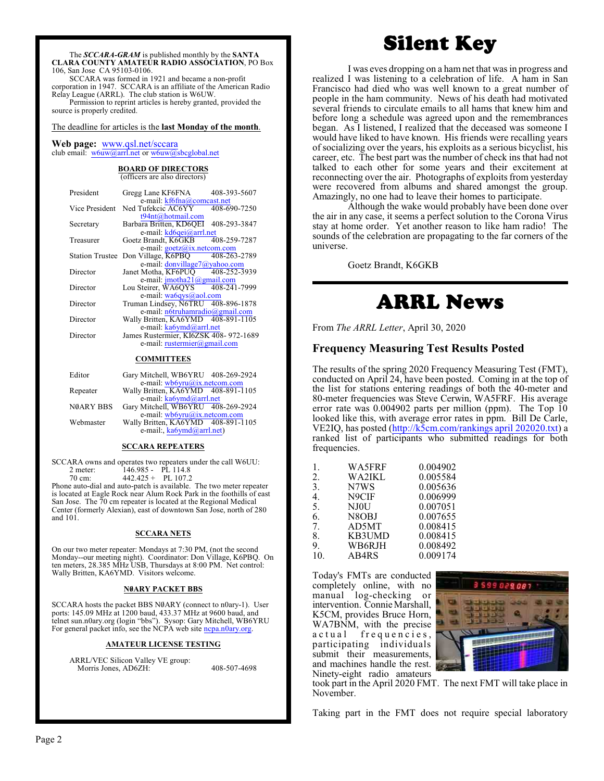The *SCCARA-GRAM* is published monthly by the **SANTA CLARA COUNTY AMATEUR RADIO ASSOCIATION**, PO Box 106, San Jose CA 95103-0106.

SCCARA was formed in 1921 and became a non-profit corporation in 1947. SCCARA is an affiliate of the American Radio Relay League (ARRL). The club station is W6UW.

Permission to reprint articles is hereby granted, provided the source is properly credited.

#### The deadline for articles is the **last Monday of the month**.

#### **Web page:** [www.qsl.net/sccara](http://www.qsl.net/sccara) club email:  $w6uw@arrl.net$  or  $w6uw@sbcglobal.net$

#### **BOARD OF DIRECTORS** (officers are also directors)

| President              | Gregg Lane KF6FNA                     | 408-393-5607 |
|------------------------|---------------------------------------|--------------|
|                        | e-mail: kf6fna@comcast.net            |              |
| Vice President         | Ned Tufekcic AC6YY                    | 408-690-7250 |
|                        | t94nt@hotmail.com                     |              |
| Secretary              | Barbara Britten, KD6OEI 408-293-3847  |              |
|                        | e-mail: kd6qei@arrl.net               |              |
| Treasurer              | Goetz Brandt, K6GKB                   | 408-259-7287 |
|                        | e-mail: $\gcd(a)x$ .netcom.com        |              |
| <b>Station Trustee</b> | Don Village, K6PBO                    | 408-263-2789 |
|                        | e-mail: donvillage7@yahoo.com         |              |
| Director               | Janet Motha, KF6PUO 408-252-3939      |              |
|                        | e-mail: imotha21@gmail.com            |              |
| Director               | Lou Steirer, WA6OYS 408-241-7999      |              |
|                        | e-mail: wa6qys@aol.com                |              |
| Director               | Truman Lindsey, N6TRU 408-896-1878    |              |
|                        | e-mail: $n6$ truhamradio@gmail.com    |              |
| Director               | Wally Britten, KA6YMD 408-891-1105    |              |
|                        | e-mail: ka6ymd@arrl.net               |              |
| Director               | James Rustermier, KI6ZSK 408-972-1689 |              |
|                        | e-mail: rustermier@gmail.com          |              |
|                        |                                       |              |

### **COMMITTEES**

| Editor           | Gary Mitchell, WB6YRU 408-269-2924 |  |  |
|------------------|------------------------------------|--|--|
|                  | e-mail: wb6yru@ix.netcom.com       |  |  |
| Repeater         | Wally Britten, KA6YMD 408-891-1105 |  |  |
|                  | e-mail: ka6ymd@arrl.net            |  |  |
| <b>NØARY BBS</b> | Gary Mitchell, WB6YRU 408-269-2924 |  |  |
|                  | e-mail: wb6yru@ix.netcom.com       |  |  |
| Webmaster        | Wally Britten, KA6YMD 408-891-1105 |  |  |
|                  | e-mail:, ka6ymd@arrl.net)          |  |  |
|                  |                                    |  |  |

#### **SCCARA REPEATERS**

SCCARA owns and operates two repeaters under the call W6UU:<br>2 meter 146 985 - PL 114 8 2 meter: 146.985 - PL 114.8 70 cm: 442.425 + PL 107.2

Phone auto-dial and auto-patch is available. The two meter repeater is located at Eagle Rock near Alum Rock Park in the foothills of east San Jose. The 70 cm repeater is located at the Regional Medical Center (formerly Alexian), east of downtown San Jose, north of 280 and 101.

#### **SCCARA NETS**

On our two meter repeater: Mondays at 7:30 PM, (not the second Monday--our meeting night). Coordinator: Don Village, K6PBQ. On ten meters, 28.385 MHz USB, Thursdays at 8:00 PM. Net control: Wally Britten, KA6YMD. Visitors welcome.

#### **NØARY PACKET BBS**

SCCARA hosts the packet BBS N0ARY (connect to n0ary-1). User ports: 145.09 MHz at 1200 baud, 433.37 MHz at 9600 baud, and telnet sun.n0ary.org (login "bbs"). Sysop: Gary Mitchell, WB6YRU For general packet info, see the NCPA web site [ncpa.n0ary.org](http://www.ncpa.n0ary.org).

#### **AMATEUR LICENSE TESTING**

ARRL/VEC Silicon Valley VE group: Morris Jones, AD6ZH: 408-507-4698

# Silent Key

I was eves dropping on a ham net that was in progress and realized I was listening to a celebration of life. A ham in San Francisco had died who was well known to a great number of people in the ham community. News of his death had motivated several friends to circulate emails to all hams that knew him and before long a schedule was agreed upon and the remembrances began. As I listened, I realized that the deceased was someone I would have liked to have known. His friends were recalling years of socializing over the years, his exploits as a serious bicyclist, his career, etc. The best part was the number of check ins that had not talked to each other for some years and their excitement at reconnecting over the air. Photographs of exploits from yesterday were recovered from albums and shared amongst the group. Amazingly, no one had to leave their homes to participate.

Although the wake would probably have been done over the air in any case, it seems a perfect solution to the Corona Virus stay at home order. Yet another reason to like ham radio! The sounds of the celebration are propagating to the far corners of the universe.

Goetz Brandt, K6GKB

# ARRL News

From *The ARRL Letter*, April 30, 2020

### **Frequency Measuring Test Results Posted**

The results of the spring 2020 Frequency Measuring Test (FMT), conducted on April 24, have been posted. Coming in at the top of the list for stations entering readings of both the 40-meter and 80-meter frequencies was Steve Cerwin, WA5FRF. His average error rate was 0.004902 parts per million (ppm). The Top 10 looked like this, with average error rates in ppm. Bill De Carle, VE2IQ, has posted [\(http://k5cm.com/rankings april 202020.txt](http://k5cm.com/rankings%20april%20202020.txt)) a ranked list of participants who submitted readings for both frequencies.

| 1.  | <b>WA5FRF</b>                  | 0.004902 |
|-----|--------------------------------|----------|
| 2.  | <b>WA2IKL</b>                  | 0.005584 |
| 3.  | N7WS                           | 0.005636 |
| 4.  | N9CIF                          | 0.006999 |
| 5.  | NJ0U                           | 0.007051 |
| 6.  | N <sub>8</sub> O <sub>BJ</sub> | 0.007655 |
| 7.  | AD5MT                          | 0.008415 |
| 8.  | KB3UMD                         | 0.008415 |
| 9.  | WB6RJH                         | 0.008492 |
| 10. | AB4RS                          | 0.009174 |
|     |                                |          |

Today's FMTs are conducted completely online, with no manual log-checking or intervention. Connie Marshall, K5CM, provides Bruce Horn, WA7BNM, with the precise a c t u a l frequencies, participating individuals submit their measurements, and machines handle the rest. Ninety-eight radio amateurs



took part in the April 2020 FMT. The next FMT will take place in November.

Taking part in the FMT does not require special laboratory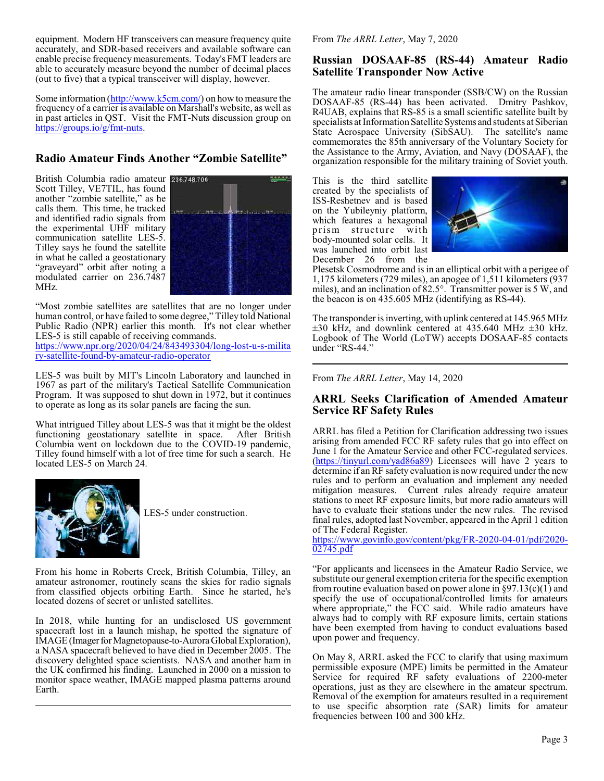equipment. Modern HF transceivers can measure frequency quite accurately, and SDR-based receivers and available software can enable precise frequency measurements. Today's FMT leaders are able to accurately measure beyond the number of decimal places (out to five) that a typical transceiver will display, however.

Some information ([http://www.k5cm.com/]((http://www.k5cm.com/)) on how to measure the frequency of a carrier is available on Marshall's website, as well as in past articles in QST. Visit the FMT-Nuts discussion group on [https://groups.io/g/fmt-nuts]((https://groups.io/g/fmt-nuts).

## **Radio Amateur Finds Another "Zombie Satellite"**

British Columbia radio amateur Scott Tilley, VE7TIL, has found another "zombie satellite," as he calls them. This time, he tracked and identified radio signals from the experimental UHF military communication satellite LES-5. Tilley says he found the satellite in what he called a geostationary "graveyard" orbit after noting a modulated carrier on 236.7487 MHz.



"Most zombie satellites are satellites that are no longer under human control, or have failed to some degree," Tilley told National Public Radio (NPR) earlier this month. It's not clear whether LES-5 is still capable of receiving commands.

[https://www.npr.org/2020/04/24/843493304/long-lost-u-s-milita](https://www.npr.org/2020/04/24/843493304/long-lost-u-s-military-satellite-found-by-amateur-radio-operator) [ry-satellite-found-by-amateur-radio-operator](https://www.npr.org/2020/04/24/843493304/long-lost-u-s-military-satellite-found-by-amateur-radio-operator)

LES-5 was built by MIT's Lincoln Laboratory and launched in 1967 as part of the military's Tactical Satellite Communication Program. It was supposed to shut down in 1972, but it continues to operate as long as its solar panels are facing the sun.

What intrigued Tilley about LES-5 was that it might be the oldest functioning geostationary satellite in space. After British Columbia went on lockdown due to the COVID-19 pandemic, Tilley found himself with a lot of free time for such a search. He located LES-5 on March 24.



LES-5 under construction.

From his home in Roberts Creek, British Columbia, Tilley, an amateur astronomer, routinely scans the skies for radio signals from classified objects orbiting Earth. Since he started, he's located dozens of secret or unlisted satellites.

In 2018, while hunting for an undisclosed US government spacecraft lost in a launch mishap, he spotted the signature of IMAGE (Imager for Magnetopause-to-Aurora Global Exploration), a NASA spacecraft believed to have died in December 2005. The discovery delighted space scientists. NASA and another ham in the UK confirmed his finding. Launched in 2000 on a mission to monitor space weather, IMAGE mapped plasma patterns around Earth.

From *The ARRL Letter*, May 7, 2020

## **Russian DOSAAF-85 (RS-44) Amateur Radio Satellite Transponder Now Active**

The amateur radio linear transponder (SSB/CW) on the Russian DOSAAF-85 (RS-44) has been activated. Dmitry Pashkov, R4UAB, explains that RS-85 is a small scientific satellite built by specialists at Information Satellite Systems and students at Siberian State Aerospace University (SibSAU). The satellite's name commemorates the 85th anniversary of the Voluntary Society for the Assistance to the Army, Aviation, and Navy (DOSAAF), the organization responsible for the military training of Soviet youth.

This is the third satellite created by the specialists of ISS-Reshetnev and is based on the Yubileyniy platform, which features a hexagonal<br>prism structure with prism structure body-mounted solar cells. It was launched into orbit last December 26 from the



Plesetsk Cosmodrome and is in an elliptical orbit with a perigee of 1,175 kilometers (729 miles), an apogee of 1,511 kilometers (937 miles), and an inclination of 82.5°. Transmitter power is 5 W, and the beacon is on 435.605 MHz (identifying as RS-44).

The transponder is inverting, with uplink centered at 145.965 MHz  $\pm 30$  kHz, and downlink centered at 435.640 MHz  $\pm 30$  kHz. Logbook of The World (LoTW) accepts DOSAAF-85 contacts under "RS-44."

From *The ARRL Letter*, May 14, 2020

## **ARRL Seeks Clarification of Amended Amateur Service RF Safety Rules**

ARRL has filed a Petition for Clarification addressing two issues arising from amended FCC RF safety rules that go into effect on June 1 for the Amateur Service and other FCC-regulated services. [\(https://tinyurl.com/yad86a89]((https://tinyurl.com/yad86a89)) Licensees will have 2 years to determine if anRF safety evaluation is now required under the new rules and to perform an evaluation and implement any needed mitigation measures. Current rules already require amateur stations to meet RF exposure limits, but more radio amateurs will have to evaluate their stations under the new rules. The revised final rules, adopted last November, appeared in the April 1 edition of The Federal Register.

[https://www.govinfo.gov/content/pkg/FR-2020-04-01/pdf/2020-](https://www.govinfo.gov/content/pkg/FR-2020-04-01/pdf/2020-02745.pdf) [02745.pdf](https://www.govinfo.gov/content/pkg/FR-2020-04-01/pdf/2020-02745.pdf)

"For applicants and licensees in the Amateur Radio Service, we substitute our general exemption criteria for the specific exemption from routine evaluation based on power alone in  $\S 97.13(c)(1)$  and specify the use of occupational/controlled limits for amateurs where appropriate," the FCC said. While radio amateurs have always had to comply with RF exposure limits, certain stations have been exempted from having to conduct evaluations based upon power and frequency.

On May 8, ARRL asked the FCC to clarify that using maximum permissible exposure (MPE) limits be permitted in the Amateur Service for required RF safety evaluations of 2200-meter operations, just as they are elsewhere in the amateur spectrum. Removal of the exemption for amateurs resulted in a requirement to use specific absorption rate (SAR) limits for amateur frequencies between 100 and 300 kHz.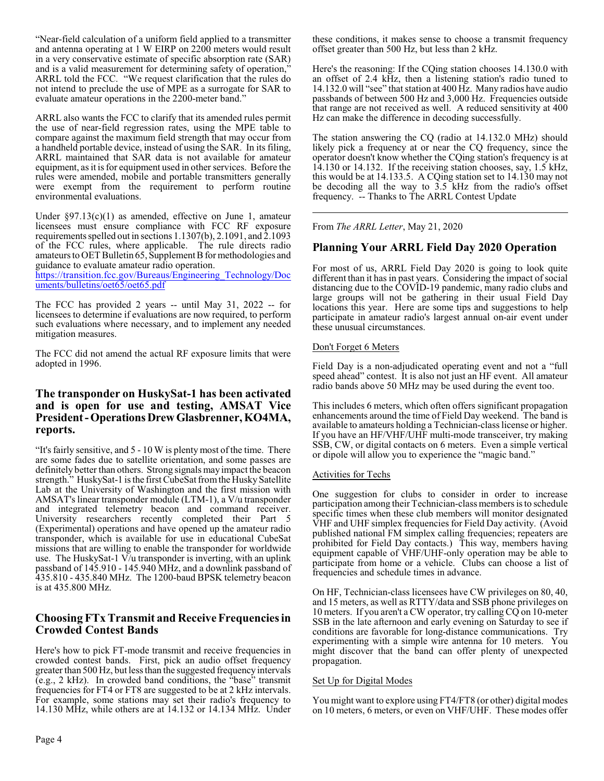"Near-field calculation of a uniform field applied to a transmitter and antenna operating at 1 W EIRP on 2200 meters would result in a very conservative estimate of specific absorption rate (SAR) and is a valid measurement for determining safety of operation," ARRL told the FCC. "We request clarification that the rules do not intend to preclude the use of MPE as a surrogate for SAR to evaluate amateur operations in the 2200-meter band."

ARRL also wants the FCC to clarify that its amended rules permit the use of near-field regression rates, using the MPE table to compare against the maximum field strength that may occur from a handheld portable device, instead of using the SAR. In its filing, ARRL maintained that SAR data is not available for amateur equipment, as it is for equipment used in other services. Before the rules were amended, mobile and portable transmitters generally were exempt from the requirement to perform routine environmental evaluations.

Under §97.13(c)(1) as amended, effective on June 1, amateur licensees must ensure compliance with FCC RF exposure requirements spelled out in sections 1.1307(b), 2.1091, and 2.1093 of the FCC rules, where applicable. The rule directs radio amateurs to OET Bulletin 65, Supplement B for methodologies and guidance to evaluate amateur radio operation.

[https://transition.fcc.gov/Bureaus/Engineering\\_Technology/Doc](https://transition.fcc.gov/Bureaus/Engineering_Technology/Documents/bulletins/oet65/oet65.pdf) [uments/bulletins/oet65/oet65.pdf](https://transition.fcc.gov/Bureaus/Engineering_Technology/Documents/bulletins/oet65/oet65.pdf)

The FCC has provided 2 years -- until May 31, 2022 -- for licensees to determine if evaluations are now required, to perform such evaluations where necessary, and to implement any needed mitigation measures.

The FCC did not amend the actual RF exposure limits that were adopted in 1996.

## **The transponder on HuskySat-1 has been activated and is open for use and testing, AMSAT Vice President-OperationsDrew Glasbrenner, KO4MA, reports.**

"It's fairly sensitive, and 5 - 10 W is plenty most of the time. There are some fades due to satellite orientation, and some passes are definitely better than others. Strong signals may impact the beacon strength." HuskySat-1 is the first CubeSat from the Husky Satellite Lab at the University of Washington and the first mission with AMSAT's linear transponder module (LTM-1), a V/u transponder and integrated telemetry beacon and command receiver. University researchers recently completed their Part 5 (Experimental) operations and have opened up the amateur radio transponder, which is available for use in educational CubeSat missions that are willing to enable the transponder for worldwide use. The HuskySat-1 V/u transponder is inverting, with an uplink passband of 145.910 - 145.940 MHz, and a downlink passband of 435.810 - 435.840 MHz. The 1200-baud BPSK telemetry beacon is at 435.800 MHz.

## **Choosing FTx Transmit and Receive Frequencies in Crowded Contest Bands**

Here's how to pick FT-mode transmit and receive frequencies in crowded contest bands. First, pick an audio offset frequency greater than 500 Hz, but less than the suggested frequency intervals  $(e.g., 2 kHz)$ . In crowded band conditions, the "base" transmit frequencies for FT4 or FT8 are suggested to be at 2 kHz intervals. For example, some stations may set their radio's frequency to 14.130 MHz, while others are at 14.132 or 14.134 MHz. Under Here's the reasoning: If the CQing station chooses 14.130.0 with an offset of 2.4 kHz, then a listening station's radio tuned to 14.132.0 will "see" that station at 400 Hz. Many radios have audio passbands of between 500 Hz and 3,000 Hz. Frequencies outside that range are not received as well. A reduced sensitivity at 400 Hz can make the difference in decoding successfully.

The station answering the CQ (radio at 14.132.0 MHz) should likely pick a frequency at or near the CQ frequency, since the operator doesn't know whether the CQing station's frequency is at 14.130 or 14.132. If the receiving station chooses, say, 1.5 kHz, this would be at 14.133.5. A CQing station set to 14.130 may not be decoding all the way to 3.5 kHz from the radio's offset frequency. -- Thanks to The ARRL Contest Update

From *The ARRL Letter*, May 21, 2020

## **Planning Your ARRL Field Day 2020 Operation**

For most of us, ARRL Field Day 2020 is going to look quite different than it has in past years. Considering the impact of social distancing due to the COVID-19 pandemic, many radio clubs and large groups will not be gathering in their usual Field Day locations this year. Here are some tips and suggestions to help participate in amateur radio's largest annual on-air event under these unusual circumstances.

### Don't Forget 6 Meters

Field Day is a non-adjudicated operating event and not a "full speed ahead" contest. It is also not just an HF event. All amateur radio bands above 50 MHz may be used during the event too.

This includes 6 meters, which often offers significant propagation enhancements around the time of Field Day weekend. The band is available to amateurs holding a Technician-class license or higher. If you have an HF/VHF/UHF multi-mode transceiver, try making SSB, CW, or digital contacts on 6 meters. Even a simple vertical or dipole will allow you to experience the "magic band."

### Activities for Techs

One suggestion for clubs to consider in order to increase participation among their Technician-class members is to schedule specific times when these club members will monitor designated VHF and UHF simplex frequencies for Field Day activity. (Avoid published national FM simplex calling frequencies; repeaters are prohibited for Field Day contacts.) This way, members having equipment capable of VHF/UHF-only operation may be able to participate from home or a vehicle. Clubs can choose a list of frequencies and schedule times in advance.

On HF, Technician-class licensees have CW privileges on 80, 40, and 15 meters, as well as RTTY/data and SSB phone privileges on 10 meters. If you aren't a CW operator, try calling CQ on 10-meter SSB in the late afternoon and early evening on Saturday to see if conditions are favorable for long-distance communications. Try experimenting with a simple wire antenna for 10 meters. You might discover that the band can offer plenty of unexpected propagation.

### Set Up for Digital Modes

You might want to explore using FT4/FT8 (or other) digital modes on 10 meters, 6 meters, or even on VHF/UHF. These modes offer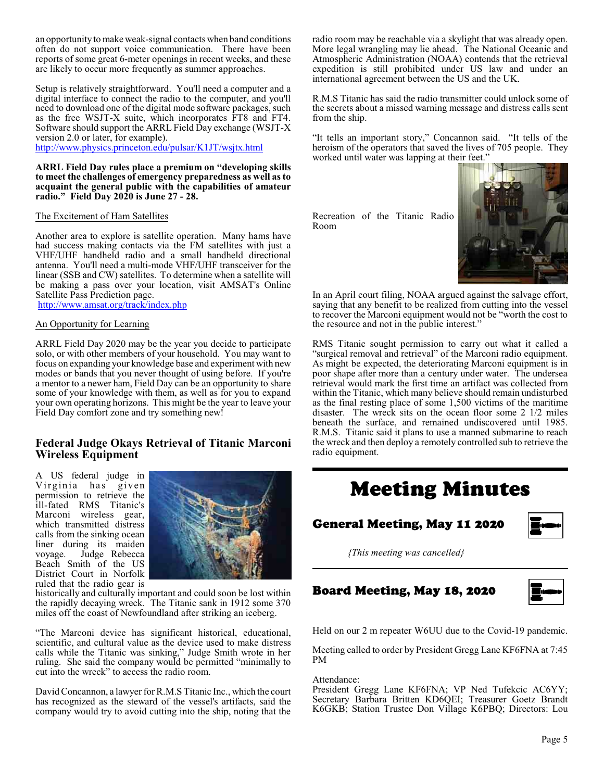an opportunityto make weak-signal contacts when band conditions often do not support voice communication. There have been reports of some great 6-meter openings in recent weeks, and these are likely to occur more frequently as summer approaches.

Setup is relatively straightforward. You'll need a computer and a digital interface to connect the radio to the computer, and you'll need to download one of the digital mode software packages, such as the free WSJT-X suite, which incorporates FT8 and FT4. Software should support the ARRL Field Day exchange (WSJT-X version 2.0 or later, for example).

<http://www.physics.princeton.edu/pulsar/K1JT/wsjtx.html>

**ARRL Field Day rules place a premium on "developing skills to meet the challenges of emergency preparedness as well asto acquaint the general public with the capabilities of amateur radio." Field Day 2020 is June 27 - 28.**

### The Excitement of Ham Satellites

Another area to explore is satellite operation. Many hams have had success making contacts via the FM satellites with just a VHF/UHF handheld radio and a small handheld directional antenna. You'll need a multi-mode VHF/UHF transceiver for the linear (SSB and CW) satellites. To determine when a satellite will be making a pass over your location, visit AMSAT's Online Satellite Pass Prediction page.

<http://www.amsat.org/track/index.php>

### An Opportunity for Learning

ARRL Field Day 2020 may be the year you decide to participate solo, or with other members of your household. You may want to focus on expanding your knowledge base and experiment with new modes or bands that you never thought of using before. If you're a mentor to a newer ham, Field Day can be an opportunity to share some of your knowledge with them, as well as for you to expand your own operating horizons. This might be the year to leave your Field Day comfort zone and try something new!

## **Federal Judge Okays Retrieval of Titanic Marconi Wireless Equipment**

A US federal judge in Virginia has given permission to retrieve the ill-fated RMS Titanic's Marconi wireless gear, which transmitted distress calls from the sinking ocean liner during its maiden voyage. Judge Rebecca Beach Smith of the US District Court in Norfolk ruled that the radio gear is



historically and culturally important and could soon be lost within the rapidly decaying wreck. The Titanic sank in 1912 some 370 miles off the coast of Newfoundland after striking an iceberg.

"The Marconi device has significant historical, educational, scientific, and cultural value as the device used to make distress calls while the Titanic was sinking," Judge Smith wrote in her ruling. She said the company would be permitted "minimally to cut into the wreck" to access the radio room.

David Concannon, a lawyer for R.M.S Titanic Inc., which the court has recognized as the steward of the vessel's artifacts, said the company would try to avoid cutting into the ship, noting that the radio room may be reachable via a skylight that was already open. More legal wrangling may lie ahead. The National Oceanic and Atmospheric Administration (NOAA) contends that the retrieval expedition is still prohibited under US law and under an international agreement between the US and the UK.

R.M.S Titanic has said the radio transmitter could unlock some of the secrets about a missed warning message and distress calls sent from the ship.

"It tells an important story," Concannon said. "It tells of the heroism of the operators that saved the lives of 705 people. They worked until water was lapping at their feet.'

Recreation of the Titanic Radio Room



In an April court filing, NOAA argued against the salvage effort, saying that any benefit to be realized from cutting into the vessel to recover the Marconi equipment would not be "worth the cost to the resource and not in the public interest."

RMS Titanic sought permission to carry out what it called a "surgical removal and retrieval" of the Marconi radio equipment. As might be expected, the deteriorating Marconi equipment is in poor shape after more than a century under water. The undersea retrieval would mark the first time an artifact was collected from within the Titanic, which many believe should remain undisturbed as the final resting place of some 1,500 victims of the maritime disaster. The wreck sits on the ocean floor some 2 1/2 miles beneath the surface, and remained undiscovered until 1985. R.M.S. Titanic said it plans to use a manned submarine to reach the wreck and then deploy a remotely controlled sub to retrieve the radio equipment.

# Meeting Minutes

## General Meeting, May 11 2020



*{This meeting was cancelled}*

### Board Meeting, May 18, 2020



Held on our 2 m repeater W6UU due to the Covid-19 pandemic.

Meeting called to order by President Gregg Lane KF6FNA at 7:45 PM

#### Attendance:

President Gregg Lane KF6FNA; VP Ned Tufekcic AC6YY; Secretary Barbara Britten KD6QEI; Treasurer Goetz Brandt K6GKB; Station Trustee Don Village K6PBQ; Directors: Lou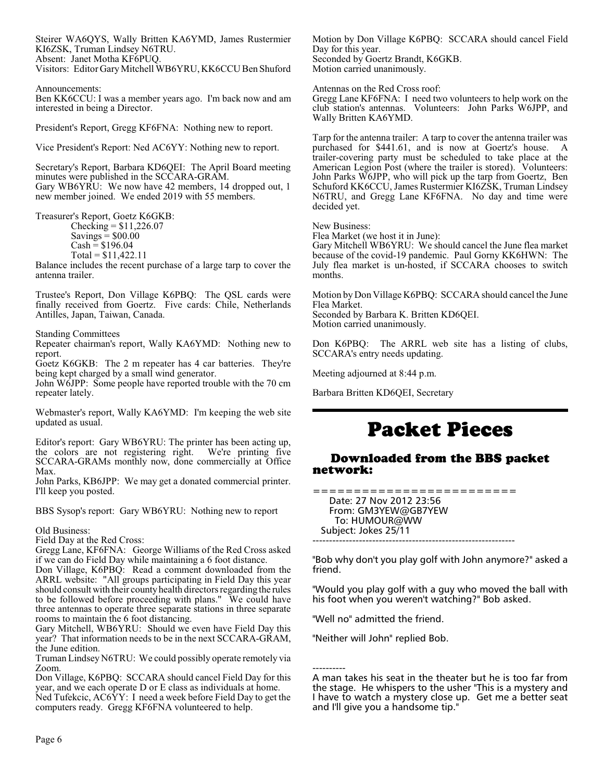Steirer WA6QYS, Wally Britten KA6YMD, James Rustermier KI6ZSK, Truman Lindsey N6TRU. Absent: Janet Motha KF6PUQ.

Visitors: Editor GaryMitchell WB6YRU, KK6CCU Ben Shuford

Announcements:

Ben KK6CCU: I was a member years ago. I'm back now and am interested in being a Director.

President's Report, Gregg KF6FNA: Nothing new to report.

Vice President's Report: Ned AC6YY: Nothing new to report.

Secretary's Report, Barbara KD6QEI: The April Board meeting minutes were published in the SCCARA-GRAM. Gary WB6YRU: We now have 42 members, 14 dropped out, 1 new member joined. We ended 2019 with 55 members.

Treasurer's Report, Goetz K6GKB:

 $Checking = $11,226.07$ Savings  $=$  \$00.00  $Cash = $196.04$  $Total = $11,422.11$ 

Balance includes the recent purchase of a large tarp to cover the antenna trailer.

Trustee's Report, Don Village K6PBQ: The QSL cards were finally received from Goertz. Five cards: Chile, Netherlands Antilles, Japan, Taiwan, Canada.

Standing Committees

Repeater chairman's report, Wally KA6YMD: Nothing new to report.

Goetz K6GKB: The 2 m repeater has 4 car batteries. They're being kept charged by a small wind generator.

John W6JPP: Some people have reported trouble with the 70 cm repeater lately.

Webmaster's report, Wally KA6YMD: I'm keeping the web site updated as usual.

Editor's report: Gary WB6YRU: The printer has been acting up, the colors are not registering right. We're printing five SCCARA-GRAMs monthly now, done commercially at Office Max.

John Parks, KB6JPP: We may get a donated commercial printer. I'll keep you posted.

BBS Sysop's report: Gary WB6YRU: Nothing new to report

Old Business:

Field Day at the Red Cross:

Gregg Lane, KF6FNA: George Williams of the Red Cross asked if we can do Field Day while maintaining a 6 foot distance.

Don Village, K6PBQ: Read a comment downloaded from the ARRL website: "All groups participating in Field Day this year should consult with their county health directors regarding the rules to be followed before proceeding with plans." We could have three antennas to operate three separate stations in three separate rooms to maintain the 6 foot distancing.

Gary Mitchell, WB6YRU: Should we even have Field Day this year? That information needs to be in the next SCCARA-GRAM, the June edition.

Truman Lindsey N6TRU: We could possibly operate remotely via Zoom.

Don Village, K6PBQ: SCCARA should cancel Field Day for this year, and we each operate D or E class as individuals at home.

Ned Tufekcic, AC6YY: I need a week before Field Day to get the computers ready. Gregg KF6FNA volunteered to help.

Motion by Don Village K6PBQ: SCCARA should cancel Field Day for this year. Seconded by Goertz Brandt, K6GKB. Motion carried unanimously.

Antennas on the Red Cross roof:

Gregg Lane KF6FNA: I need two volunteers to help work on the club station's antennas. Volunteers: John Parks W6JPP, and Wally Britten KA6YMD.

Tarp for the antenna trailer: A tarp to cover the antenna trailer was purchased for \$441.61, and is now at Goertz's house. A trailer-covering party must be scheduled to take place at the American Legion Post (where the trailer is stored). Volunteers: John Parks W6JPP, who will pick up the tarp from Goertz, Ben Schuford KK6CCU, James Rustermier KI6ZSK, Truman Lindsey N6TRU, and Gregg Lane KF6FNA. No day and time were decided yet.

New Business:

Flea Market (we host it in June):

Gary Mitchell WB6YRU: We should cancel the June flea market because of the covid-19 pandemic. Paul Gorny KK6HWN: The July flea market is un-hosted, if SCCARA chooses to switch months.

Motion by Don Village K6PBQ: SCCARA should cancel the June Flea Market. Seconded by Barbara K. Britten KD6QEI.

Motion carried unanimously.

Don K6PBQ: The ARRL web site has a listing of clubs, SCCARA's entry needs updating.

Meeting adjourned at 8:44 p.m.

Barbara Britten KD6QEI, Secretary

# Packet Pieces

## Downloaded from the BBS packet network:

========================= Date: 27 Nov 2012 23:56 From: GM3YEW@GB7YEW To: HUMOUR@WW Subject: Jokes 25/11 -------------------------------------------------------------

"Bob why don't you play golf with John anymore?" asked a friend.

"Would you play golf with a guy who moved the ball with his foot when you weren't watching?" Bob asked.

"Well no" admitted the friend.

"Neither will John" replied Bob.

---------- A man takes his seat in the theater but he is too far from the stage. He whispers to the usher "This is a mystery and I have to watch a mystery close up. Get me a better seat and I'll give you a handsome tip."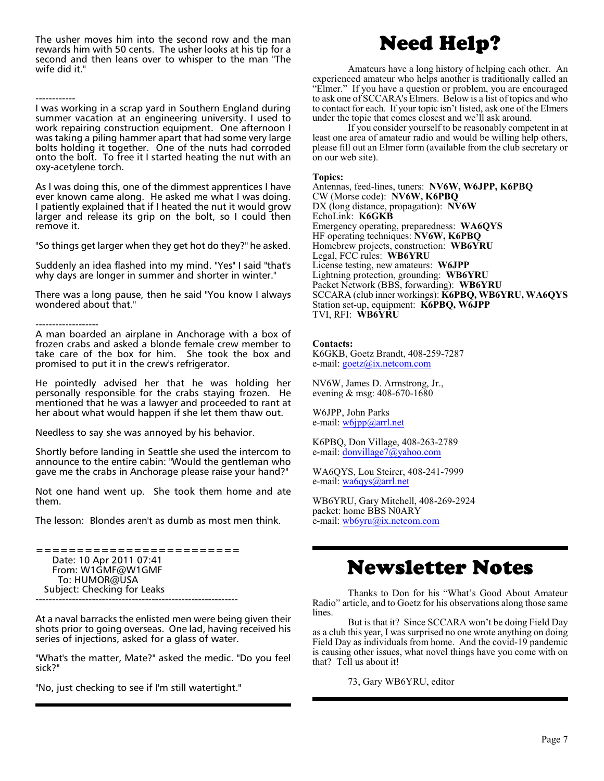The usher moves him into the second row and the man rewards him with 50 cents. The usher looks at his tip for a second and then leans over to whisper to the man "The wife did it."

As I was doing this, one of the dimmest apprentices I have ever known came along. He asked me what I was doing. I patiently explained that if I heated the nut it would grow larger and release its grip on the bolt, so I could then remove it.

"So things get larger when they get hot do they?" he asked.

Suddenly an idea flashed into my mind. "Yes" I said "that's why days are longer in summer and shorter in winter."

There was a long pause, then he said "You know I always wondered about that."

------------------- A man boarded an airplane in Anchorage with a box of frozen crabs and asked a blonde female crew member to take care of the box for him. She took the box and promised to put it in the crew's refrigerator.

He pointedly advised her that he was holding her personally responsible for the crabs staying frozen. He mentioned that he was a lawyer and proceeded to rant at her about what would happen if she let them thaw out.

Needless to say she was annoyed by his behavior.

Shortly before landing in Seattle she used the intercom to announce to the entire cabin: "Would the gentleman who gave me the crabs in Anchorage please raise your hand?"

Not one hand went up. She took them home and ate them.

The lesson: Blondes aren't as dumb as most men think.

========================= Date: 10 Apr 2011 07:41 From: W1GMF@W1GMF To: HUMOR@USA Subject: Checking for Leaks -------------------------------------------------------------

At a naval barracks the enlisted men were being given their shots prior to going overseas. One lad, having received his series of injections, asked for a glass of water.

"What's the matter, Mate?" asked the medic. "Do you feel sick?"

"No, just checking to see if I'm still watertight."

# Need Help?

Amateurs have a long history of helping each other. An experienced amateur who helps another is traditionally called an "Elmer." If you have a question or problem, you are encouraged to ask one of SCCARA's Elmers. Below is a list of topics and who to contact for each. If your topic isn't listed, ask one of the Elmers under the topic that comes closest and we'll ask around.

If you consider yourself to be reasonably competent in at least one area of amateur radio and would be willing help others, please fill out an Elmer form (available from the club secretary or on our web site).

### **Topics:**

Antennas, feed-lines, tuners: **NV6W, W6JPP, K6PBQ** CW (Morse code): **NV6W, K6PBQ** DX (long distance, propagation): **NV6W** EchoLink: **K6GKB** Emergency operating, preparedness: **WA6QYS** HF operating techniques: **NV6W, K6PBQ** Homebrew projects, construction: **WB6YRU** Legal, FCC rules: **WB6YRU** License testing, new amateurs: **W6JPP** Lightning protection, grounding: **WB6YRU** Packet Network (BBS, forwarding): **WB6YRU** SCCARA (club inner workings): **K6PBQ, WB6YRU, WA6QYS** Station set-up, equipment: **K6PBQ, W6JPP** TVI, RFI: **WB6YRU**

### **Contacts:**

K6GKB, Goetz Brandt, 408-259-7287 e-mail: [goetz@ix.netcom.com](mailto:goetz@ix.netcom.com)

NV6W, James D. Armstrong, Jr., evening & msg: 408-670-1680

W6JPP, John Parks e-mail: [w6jpp@arrl.net](mailto:w6jpp@arrl.net)

K6PBQ, Don Village, 408-263-2789 e-mail: [donvillage7@yahoo.com](mailto:donvillage7@yahoo.com)

WA6QYS, Lou Steirer, 408-241-7999 e-mail: [wa6qys@arrl.net](mailto:wa6qys@arrl.net)

WB6YRU, Gary Mitchell, 408-269-2924 packet: home BBS N0ARY e-mail: [wb6yru@ix.netcom.com](mailto:wb6yru@ix.netcom.com)

# Newsletter Notes

Thanks to Don for his "What's Good About Amateur Radio" article, and to Goetz for his observations along those same lines.

But is that it? Since SCCARA won't be doing Field Day as a club this year, I was surprised no one wrote anything on doing Field Day as individuals from home. And the covid-19 pandemic is causing other issues, what novel things have you come with on that? Tell us about it!

73, Gary WB6YRU, editor

<sup>------------</sup> I was working in a scrap yard in Southern England during summer vacation at an engineering university. I used to work repairing construction equipment. One afternoon I was taking a piling hammer apart that had some very large bolts holding it together. One of the nuts had corroded onto the bolt. To free it I started heating the nut with an oxy-acetylene torch.